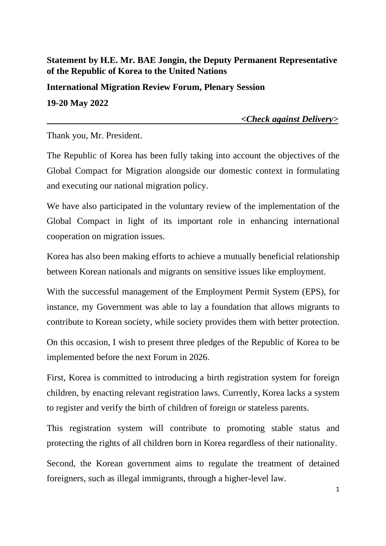## **Statement by H.E. Mr. BAE Jongin, the Deputy Permanent Representative of the Republic of Korea to the United Nations**

**International Migration Review Forum, Plenary Session 19-20 May 2022** 

 *<Check against Delivery>*

Thank you, Mr. President.

The Republic of Korea has been fully taking into account the objectives of the Global Compact for Migration alongside our domestic context in formulating and executing our national migration policy.

We have also participated in the voluntary review of the implementation of the Global Compact in light of its important role in enhancing international cooperation on migration issues.

Korea has also been making efforts to achieve a mutually beneficial relationship between Korean nationals and migrants on sensitive issues like employment.

With the successful management of the Employment Permit System (EPS), for instance, my Government was able to lay a foundation that allows migrants to contribute to Korean society, while society provides them with better protection.

On this occasion, I wish to present three pledges of the Republic of Korea to be implemented before the next Forum in 2026.

First, Korea is committed to introducing a birth registration system for foreign children, by enacting relevant registration laws. Currently, Korea lacks a system to register and verify the birth of children of foreign or stateless parents.

This registration system will contribute to promoting stable status and protecting the rights of all children born in Korea regardless of their nationality.

Second, the Korean government aims to regulate the treatment of detained foreigners, such as illegal immigrants, through a higher-level law.